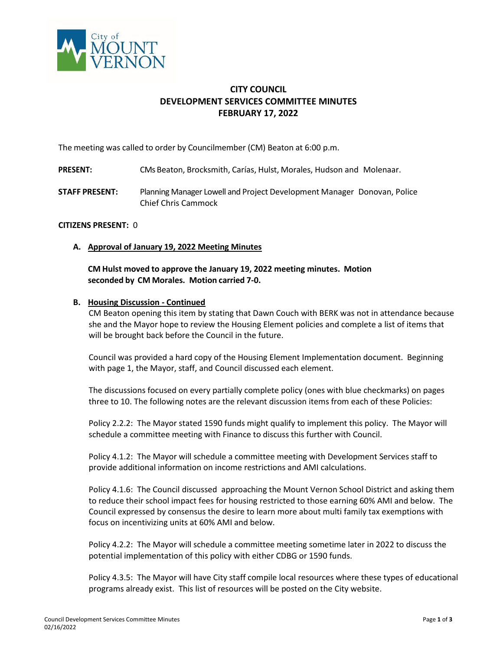

# **CITY COUNCIL DEVELOPMENT SERVICES COMMITTEE MINUTES FEBRUARY 17, 2022**

The meeting was called to order by Councilmember (CM) Beaton at 6:00 p.m.

- **PRESENT:** CMs Beaton, Brocksmith, Carías, Hulst, Morales, Hudson and Molenaar.
- **STAFF PRESENT:** Planning Manager Lowell and Project Development Manager Donovan, Police Chief Chris Cammock

## **CITIZENS PRESENT:** 0

**A. Approval of January 19, 2022 Meeting Minutes**

**CM Hulst moved to approve the January 19, 2022 meeting minutes. Motion seconded by CM Morales. Motion carried 7-0.**

#### **B. Housing Discussion - Continued**

CM Beaton opening this item by stating that Dawn Couch with BERK was not in attendance because she and the Mayor hope to review the Housing Element policies and complete a list of items that will be brought back before the Council in the future.

Council was provided a hard copy of the Housing Element Implementation document. Beginning with page 1, the Mayor, staff, and Council discussed each element.

The discussions focused on every partially complete policy (ones with blue checkmarks) on pages three to 10. The following notes are the relevant discussion items from each of these Policies:

Policy 2.2.2: The Mayor stated 1590 funds might qualify to implement this policy. The Mayor will schedule a committee meeting with Finance to discuss this further with Council.

Policy 4.1.2: The Mayor will schedule a committee meeting with Development Services staff to provide additional information on income restrictions and AMI calculations.

Policy 4.1.6: The Council discussed approaching the Mount Vernon School District and asking them to reduce their school impact fees for housing restricted to those earning 60% AMI and below. The Council expressed by consensus the desire to learn more about multi family tax exemptions with focus on incentivizing units at 60% AMI and below.

Policy 4.2.2: The Mayor will schedule a committee meeting sometime later in 2022 to discuss the potential implementation of this policy with either CDBG or 1590 funds.

Policy 4.3.5: The Mayor will have City staff compile local resources where these types of educational programs already exist. This list of resources will be posted on the City website.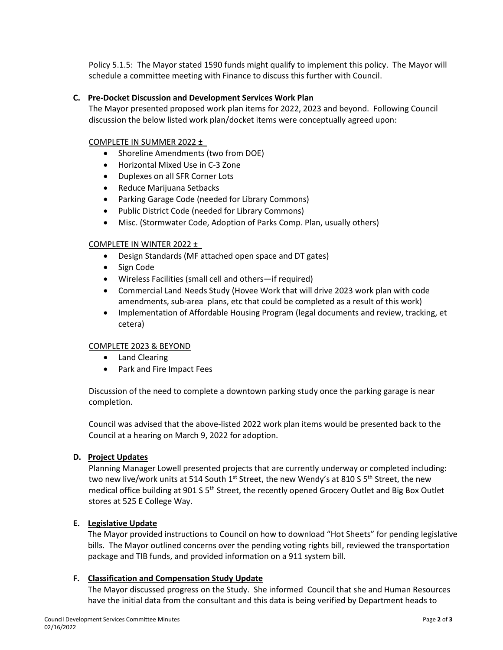Policy 5.1.5: The Mayor stated 1590 funds might qualify to implement this policy. The Mayor will schedule a committee meeting with Finance to discuss this further with Council.

## **C. Pre-Docket Discussion and Development Services Work Plan**

The Mayor presented proposed work plan items for 2022, 2023 and beyond. Following Council discussion the below listed work plan/docket items were conceptually agreed upon:

## COMPLETE IN SUMMER 2022 ±

- Shoreline Amendments (two from DOE)
- Horizontal Mixed Use in C-3 Zone
- Duplexes on all SFR Corner Lots
- Reduce Marijuana Setbacks
- Parking Garage Code (needed for Library Commons)
- Public District Code (needed for Library Commons)
- Misc. (Stormwater Code, Adoption of Parks Comp. Plan, usually others)

## COMPLETE IN WINTER 2022 ±

- Design Standards (MF attached open space and DT gates)
- Sign Code
- Wireless Facilities (small cell and others—if required)
- Commercial Land Needs Study (Hovee Work that will drive 2023 work plan with code amendments, sub-area plans, etc that could be completed as a result of this work)
- Implementation of Affordable Housing Program (legal documents and review, tracking, et cetera)

## COMPLETE 2023 & BEYOND

- Land Clearing
- Park and Fire Impact Fees

Discussion of the need to complete a downtown parking study once the parking garage is near completion.

Council was advised that the above-listed 2022 work plan items would be presented back to the Council at a hearing on March 9, 2022 for adoption.

## **D. Project Updates**

Planning Manager Lowell presented projects that are currently underway or completed including: two new live/work units at 514 South 1<sup>st</sup> Street, the new Wendy's at 810 S 5<sup>th</sup> Street, the new medical office building at 901 S 5<sup>th</sup> Street, the recently opened Grocery Outlet and Big Box Outlet stores at 525 E College Way.

## **E. Legislative Update**

The Mayor provided instructions to Council on how to download "Hot Sheets" for pending legislative bills. The Mayor outlined concerns over the pending voting rights bill, reviewed the transportation package and TIB funds, and provided information on a 911 system bill.

## **F. Classification and Compensation Study Update**

The Mayor discussed progress on the Study. She informed Council that she and Human Resources have the initial data from the consultant and this data is being verified by Department heads to